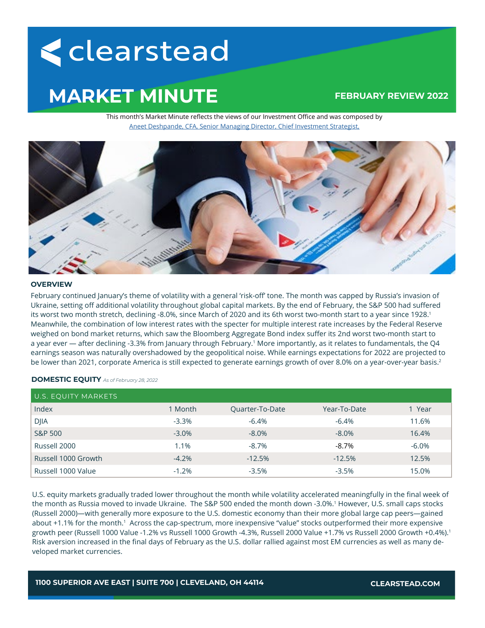# < clearstead

# **MARKET MINUTE**

# **FEBRUARY REVIEW 2022**

This month's Market Minute reflects the views of our Investment Office and was composed by [Aneet Deshpande, CFA, Senior Managing Director, Chief Investment Strategist,](https://www.clearstead.com/aneet-deshpande/)



#### **OVERVIEW**

February continued January's theme of volatility with a general 'risk-off' tone. The month was capped by Russia's invasion of Ukraine, setting off additional volatility throughout global capital markets. By the end of February, the S&P 500 had suffered its worst two month stretch, declining -8.0%, since March of 2020 and its 6th worst two-month start to a year since 1928.<sup>1</sup> Meanwhile, the combination of low interest rates with the specter for multiple interest rate increases by the Federal Reserve weighed on bond market returns, which saw the Bloomberg Aggregate Bond index suffer its 2nd worst two-month start to a year ever — after declining -3.3% from January through February.1 More importantly, as it relates to fundamentals, the Q4 earnings season was naturally overshadowed by the geopolitical noise. While earnings expectations for 2022 are projected to be lower than 2021, corporate America is still expected to generate earnings growth of over 8.0% on a year-over-year basis.<sup>2</sup>

## **DOMESTIC EQUITY** *As of February 28, 2022*

| U.S. EQUITY MARKETS |         |                 |              |          |
|---------------------|---------|-----------------|--------------|----------|
| Index               | 1 Month | Quarter-To-Date | Year-To-Date | 1 Year   |
| <b>DJIA</b>         | $-3.3%$ | $-6.4%$         | $-6.4\%$     | 11.6%    |
| S&P 500             | $-3.0%$ | $-8.0%$         | $-8.0\%$     | 16.4%    |
| Russell 2000        | 1.1%    | $-8.7%$         | -8.7%        | $-6.0\%$ |
| Russell 1000 Growth | $-4.2%$ | $-12.5%$        | $-12.5%$     | 12.5%    |
| Russell 1000 Value  | $-1.2%$ | $-3.5%$         | $-3.5%$      | 15.0%    |

U.S. equity markets gradually traded lower throughout the month while volatility accelerated meaningfully in the final week of the month as Russia moved to invade Ukraine. The S&P 500 ended the month down -3.0%.<sup>1</sup> However, U.S. small caps stocks (Russell 2000)—with generally more exposure to the U.S. domestic economy than their more global large cap peers—gained about +1.1% for the month.<sup>1</sup> Across the cap-spectrum, more inexpensive "value" stocks outperformed their more expensive growth peer (Russell 1000 Value -1.2% vs Russell 1000 Growth -4.3%, Russell 2000 Value +1.7% vs Russell 2000 Growth +0.4%).1 Risk aversion increased in the final days of February as the U.S. dollar rallied against most EM currencies as well as many developed market currencies.

**1100 SUPERIOR AVE EAST | SUITE 700 | CLEVELAND, OH 44114 CLEARSTEAD.COM**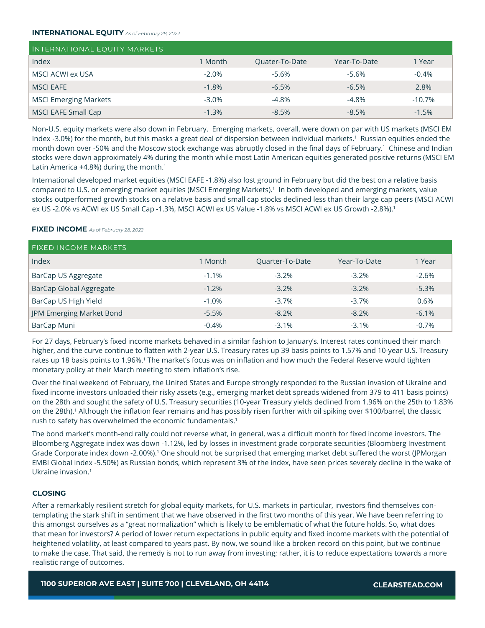#### **INTERNATIONAL EQUITY** *As of February 28, 2022*

| INTERNATIONAL EQUITY MARKETS |         |                |              |          |
|------------------------------|---------|----------------|--------------|----------|
| Index                        | 1 Month | Quater-To-Date | Year-To-Date | 1 Year   |
| MSCI ACWI ex USA             | $-2.0%$ | $-5.6%$        | $-5.6\%$     | $-0.4\%$ |
| <b>MSCI EAFE</b>             | $-1.8%$ | $-6.5%$        | $-6.5\%$     | 2.8%     |
| <b>MSCI Emerging Markets</b> | $-3.0%$ | $-4.8%$        | -4.8%        | $-10.7%$ |
| MSCI EAFE Small Cap          | $-1.3%$ | $-8.5%$        | $-8.5\%$     | $-1.5%$  |

Non-U.S. equity markets were also down in February. Emerging markets, overall, were down on par with US markets (MSCI EM Index -3.0%) for the month, but this masks a great deal of dispersion between individual markets.<sup>1</sup> Russian equities ended the month down over -50% and the Moscow stock exchange was abruptly closed in the final days of February.<sup>1</sup> Chinese and Indian stocks were down approximately 4% during the month while most Latin American equities generated positive returns (MSCI EM Latin America  $+4.8%$ ) during the month.<sup>1</sup>

International developed market equities (MSCI EAFE -1.8%) also lost ground in February but did the best on a relative basis compared to U.S. or emerging market equities (MSCI Emerging Markets).1 In both developed and emerging markets, value stocks outperformed growth stocks on a relative basis and small cap stocks declined less than their large cap peers (MSCI ACWI ex US -2.0% vs ACWI ex US Small Cap -1.3%, MSCI ACWI ex US Value -1.8% vs MSCI ACWI ex US Growth -2.8%).<sup>1</sup>

### **FIXED INCOME** *As of February 28, 2022*

| <b>FIXED INCOME MARKETS</b> |         |                        |              |         |
|-----------------------------|---------|------------------------|--------------|---------|
| Index                       | 1 Month | <b>Quarter-To-Date</b> | Year-To-Date | 1 Year  |
| BarCap US Aggregate         | $-1.1%$ | $-3.2%$                | $-3.2%$      | $-2.6%$ |
| BarCap Global Aggregate     | $-1.2%$ | $-3.2\%$               | $-3.2%$      | $-5.3%$ |
| BarCap US High Yield        | $-1.0%$ | $-3.7\%$               | $-3.7%$      | 0.6%    |
| JPM Emerging Market Bond    | $-5.5%$ | $-8.2%$                | $-8.2%$      | $-6.1%$ |
| BarCap Muni                 | $-0.4%$ | $-3.1\%$               | $-3.1%$      | $-0.7%$ |

For 27 days, February's fixed income markets behaved in a similar fashion to January's. Interest rates continued their march higher, and the curve continue to flatten with 2-year U.S. Treasury rates up 39 basis points to 1.57% and 10-year U.S. Treasury rates up 18 basis points to 1.96%.<sup>1</sup> The market's focus was on inflation and how much the Federal Reserve would tighten monetary policy at their March meeting to stem inflation's rise.

Over the final weekend of February, the United States and Europe strongly responded to the Russian invasion of Ukraine and fixed income investors unloaded their risky assets (e.g., emerging market debt spreads widened from 379 to 411 basis points) on the 28th and sought the safety of U.S. Treasury securities (10-year Treasury yields declined from 1.96% on the 25th to 1.83% on the 28th).<sup>1</sup> Although the inflation fear remains and has possibly risen further with oil spiking over \$100/barrel, the classic rush to safety has overwhelmed the economic fundamentals.<sup>1</sup>

The bond market's month-end rally could not reverse what, in general, was a difficult month for fixed income investors. The Bloomberg Aggregate index was down -1.12%, led by losses in investment grade corporate securities (Bloomberg Investment Grade Corporate index down -2.00%).<sup>1</sup> One should not be surprised that emerging market debt suffered the worst (JPMorgan EMBI Global index -5.50%) as Russian bonds, which represent 3% of the index, have seen prices severely decline in the wake of Ukraine invasion.1

### **CLOSING**

After a remarkably resilient stretch for global equity markets, for U.S. markets in particular, investors find themselves contemplating the stark shift in sentiment that we have observed in the first two months of this year. We have been referring to this amongst ourselves as a "great normalization" which is likely to be emblematic of what the future holds. So, what does that mean for investors? A period of lower return expectations in public equity and fixed income markets with the potential of heightened volatility, at least compared to years past. By now, we sound like a broken record on this point, but we continue to make the case. That said, the remedy is not to run away from investing; rather, it is to reduce expectations towards a more realistic range of outcomes.

**1100 SUPERIOR AVE EAST | SUITE 700 | CLEVELAND, OH 44114 CLEARSTEAD.COM**